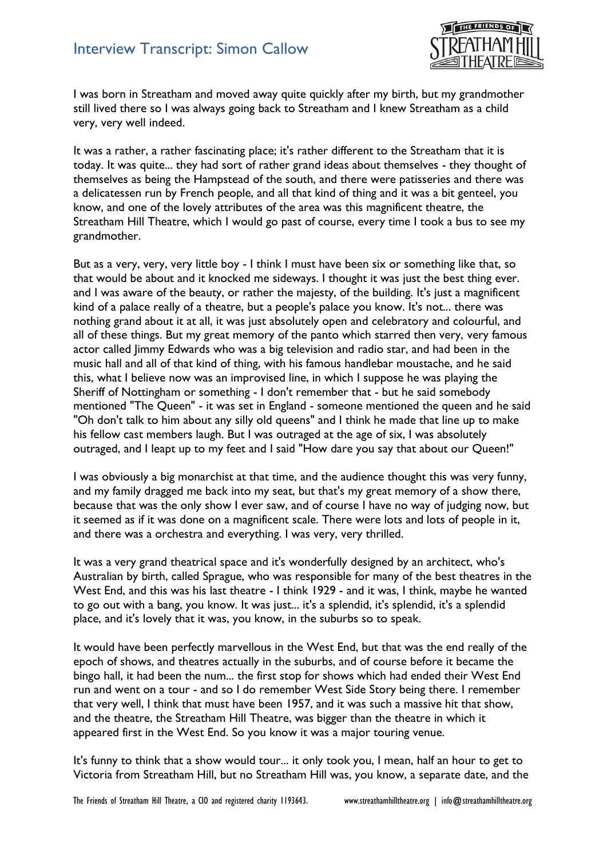## Interview Transcript: Simon Callow



I was born in Streatham and moved away quite quickly after my birth, but my grandmother still lived there so I was always going back to Streatham and I knew Streatham as a child very, very well indeed.

It was a rather, a rather fascinating place; it's rather different to the Streatham that it is today. It was quite... they had sort of rather grand ideas about themselves - they thought of themselves as being the Hampstead of the south, and there were patisseries and there was a delicatessen run by French people, and all that kind of thing and it was a bit genteel, you know, and one of the lovely attributes of the area was this magnificent theatre, the Streatham Hill Theatre, which I would go past of course, every time I took a bus to see my grandmother.

But as a very, very, very little boy - I think I must have been six or something like that, so that would be about and it knocked me sideways. I thought it was just the best thing ever. and I was aware of the beauty, or rather the majesty, of the building. It's just a magnificent kind of a palace really of a theatre, but a people's palace you know. It's not... there was nothing grand about it at all, it was just absolutely open and celebratory and colourful, and all of these things. But my great memory of the panto which starred then very, very famous actor called Jimmy Edwards who was a big television and radio star, and had been in the music hall and all of that kind of thing, with his famous handlebar moustache, and he said this, what I believe now was an improvised line, in which I suppose he was playing the Sheriff of Nottingham or something - I don't remember that - but he said somebody mentioned "The Queen" - it was set in England - someone mentioned the queen and he said "Oh don't talk to him about any silly old queens" and I think he made that line up to make his fellow cast members laugh. But I was outraged at the age of six, I was absolutely outraged, and I leapt up to my feet and I said "How dare you say that about our Queen!"

I was obviously a big monarchist at that time, and the audience thought this was very funny, and my family dragged me back into my seat, but that's my great memory of a show there, because that was the only show I ever saw, and of course I have no way of judging now, but it seemed as if it was done on a magnificent scale. There were lots and lots of people in it, and there was a orchestra and everything. I was very, very thrilled.

It was a very grand theatrical space and it's wonderfully designed by an architect, who's Australian by birth, called Sprague, who was responsible for many of the best theatres in the West End, and this was his last theatre - I think 1929 - and it was, I think, maybe he wanted to go out with a bang, you know. It was just... it's a splendid, it's splendid, it's a splendid place, and it's lovely that it was, you know, in the suburbs so to speak.

It would have been perfectly marvellous in the West End, but that was the end really of the epoch of shows, and theatres actually in the suburbs, and of course before it became the bingo hall, it had been the num... the first stop for shows which had ended their West End run and went on a tour - and so I do remember West Side Story being there. I remember that very well, I think that must have been 1957, and it was such a massive hit that show, and the theatre, the Streatham Hill Theatre, was bigger than the theatre in which it appeared first in the West End. So you know it was a major touring venue.

It's funny to think that a show would tour... it only took you, I mean, half an hour to get to Victoria from Streatham Hill, but no Streatham Hill was, you know, a separate date, and the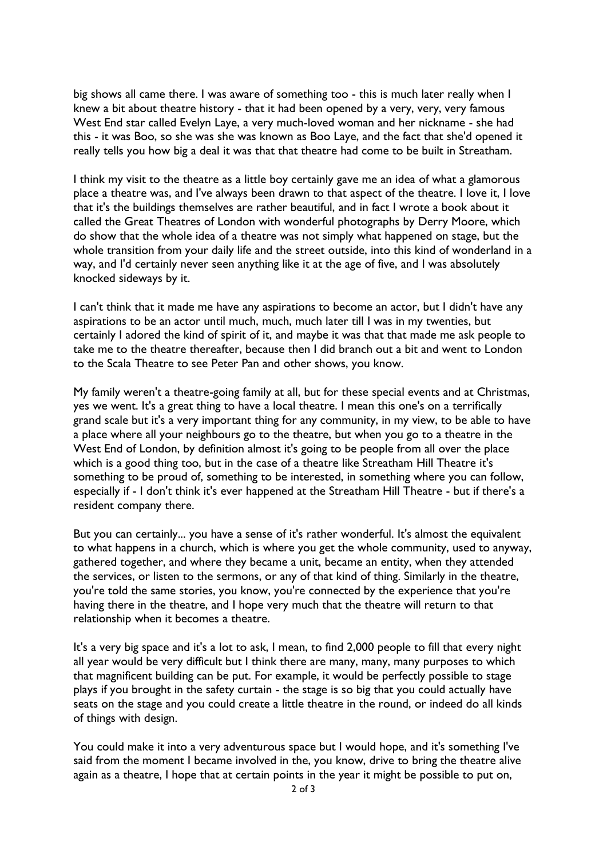big shows all came there. I was aware of something too - this is much later really when I knew a bit about theatre history - that it had been opened by a very, very, very famous West End star called Evelyn Laye, a very much-loved woman and her nickname - she had this - it was Boo, so she was she was known as Boo Laye, and the fact that she'd opened it really tells you how big a deal it was that that theatre had come to be built in Streatham.

I think my visit to the theatre as a little boy certainly gave me an idea of what a glamorous place a theatre was, and I've always been drawn to that aspect of the theatre. I love it, I love that it's the buildings themselves are rather beautiful, and in fact I wrote a book about it called the Great Theatres of London with wonderful photographs by Derry Moore, which do show that the whole idea of a theatre was not simply what happened on stage, but the whole transition from your daily life and the street outside, into this kind of wonderland in a way, and I'd certainly never seen anything like it at the age of five, and I was absolutely knocked sideways by it.

I can't think that it made me have any aspirations to become an actor, but I didn't have any aspirations to be an actor until much, much, much later till I was in my twenties, but certainly I adored the kind of spirit of it, and maybe it was that that made me ask people to take me to the theatre thereafter, because then I did branch out a bit and went to London to the Scala Theatre to see Peter Pan and other shows, you know.

My family weren't a theatre-going family at all, but for these special events and at Christmas, yes we went. It's a great thing to have a local theatre. I mean this one's on a terrifically grand scale but it's a very important thing for any community, in my view, to be able to have a place where all your neighbours go to the theatre, but when you go to a theatre in the West End of London, by definition almost it's going to be people from all over the place which is a good thing too, but in the case of a theatre like Streatham Hill Theatre it's something to be proud of, something to be interested, in something where you can follow, especially if - I don't think it's ever happened at the Streatham Hill Theatre - but if there's a resident company there.

But you can certainly... you have a sense of it's rather wonderful. It's almost the equivalent to what happens in a church, which is where you get the whole community, used to anyway, gathered together, and where they became a unit, became an entity, when they attended the services, or listen to the sermons, or any of that kind of thing. Similarly in the theatre, you're told the same stories, you know, you're connected by the experience that you're having there in the theatre, and I hope very much that the theatre will return to that relationship when it becomes a theatre.

It's a very big space and it's a lot to ask, I mean, to find 2,000 people to fill that every night all year would be very difficult but I think there are many, many, many purposes to which that magnificent building can be put. For example, it would be perfectly possible to stage plays if you brought in the safety curtain - the stage is so big that you could actually have seats on the stage and you could create a little theatre in the round, or indeed do all kinds of things with design.

You could make it into a very adventurous space but I would hope, and it's something I've said from the moment I became involved in the, you know, drive to bring the theatre alive again as a theatre, I hope that at certain points in the year it might be possible to put on,